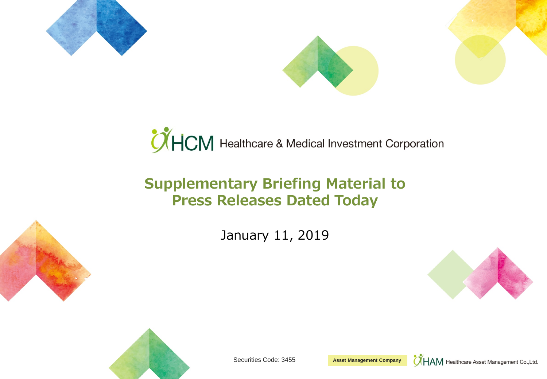



# **OHCM** Healthcare & Medical Investment Corporation

## **Supplementary Briefing Material to Press Releases Dated Today**

January 11, 2019





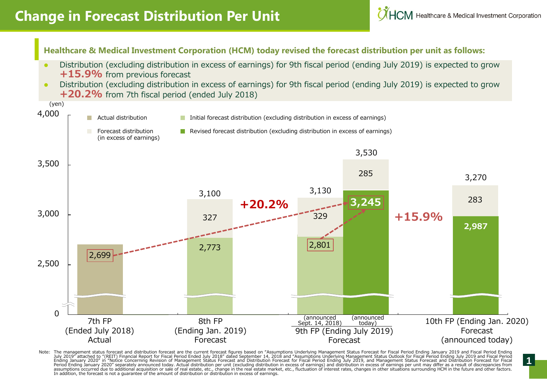**1**



Note: The management status forecast and istribution for exact are the current forecast figures based on "Assumptions Underlying Management Status Forecast Scultok for Fiscal Period Ending January 2019 and Fiscal Period En In addition, the forecast is not a guarantee of the amount of distribution or distribution in excess of earnings.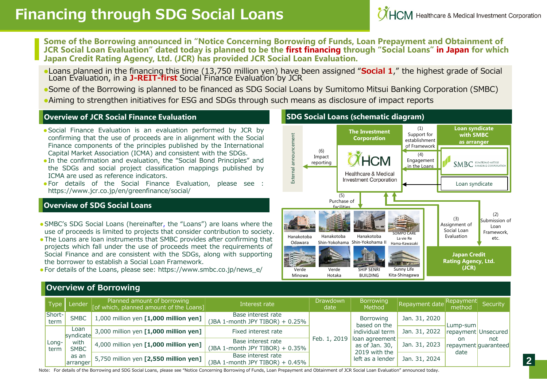## **Financing through SDG Social Loans**



**Some of the Borrowing announced in "Notice Concerning Borrowing of Funds, Loan Prepayment and Obtainment of JCR Social Loan Evaluation" dated today is planned to be the first financing through "Social Loans" in Japan for which Japan Credit Rating Agency, Ltd. (JCR) has provided JCR Social Loan Evaluation.**

- Loans planned in the financing this time (13,750 million yen) have been assigned "**Social 1**," the highest grade of Social Loan Evaluation, in a **J-REIT-first** Social Finance Evaluation by JCR
- Some of the Borrowing is planned to be financed as SDG Social Loans by Sumitomo Mitsui Banking Corporation (SMBC)
- Aiming to strengthen initiatives for ESG and SDGs through such means as disclosure of impact reports

- Social Finance Evaluation is an evaluation performed by JCR by confirming that the use of proceeds are in alignment with the Social Finance components of the principles published by the International Capital Market Association (ICMA) and consistent with the SDGs.
- In the confirmation and evaluation, the "Social Bond Principles" and the SDGs and social project classification mappings published by ICMA are used as reference indicators.
- For details of the Social Finance Evaluation, please see : https://www.jcr.co.jp/en/greenfinance/social/

### **Overview of SDG Social Loans**

- SMBC's SDG Social Loans (hereinafter, the "Loans") are loans where the use of proceeds is limited to projects that consider contribution to society.
- The Loans are loan instruments that SMBC provides after confirming that projects which fall under the use of proceeds meet the requirements of Social Finance and are consistent with the SDGs, along with supporting the borrower to establish a Social Loan Framework.
- For details of the Loans, please see: https://www.smbc.co.jp/news\_e/



## **Overview of Borrowing**

|                | Type Lender                                                    | Planned amount of borrowing<br>[of which, planned amount of the Loans] | Interest rate                                               | <b>Drawdown</b><br>date | Borrowing<br>Method                                                                                                                | Repayment date Repayment | method                                                                | Security |
|----------------|----------------------------------------------------------------|------------------------------------------------------------------------|-------------------------------------------------------------|-------------------------|------------------------------------------------------------------------------------------------------------------------------------|--------------------------|-----------------------------------------------------------------------|----------|
| Short-<br>term | <b>SMBC</b>                                                    | 1,000 million yen [1,000 million yen]                                  | Base interest rate<br>$(JBA 1$ -month JPY TIBOR) + 0.25%    |                         | Borrowing<br>based on the<br>individual term<br>Feb. 1, 2019 loan agreement<br>as of Jan. 30,<br>2019 with the<br>left as a lender | Jan. 31, 2020            | Lump-sum<br>repayment Unsecured<br>on<br>repayment quaranteed<br>date | not      |
| Long-<br>term  | Loan<br>syndicate<br>with<br><b>SMBC</b><br>as an<br>larranger | 3,000 million yen [1,000 million yen]                                  | Fixed interest rate                                         |                         |                                                                                                                                    | Jan. 31, 2022            |                                                                       |          |
|                |                                                                | 4,000 million yen [1,000 million yen]                                  | Base interest rate<br>$(JBA 1$ -month JPY TIBOR) + $0.35\%$ |                         |                                                                                                                                    | Jan. 31, 2023            |                                                                       |          |
|                |                                                                | 5,750 million yen [2,550 million yen]                                  | Base interest rate<br>$(JBA 1$ -month JPY TIBOR) + $0.45\%$ |                         |                                                                                                                                    | Jan. 31, 2024            |                                                                       |          |